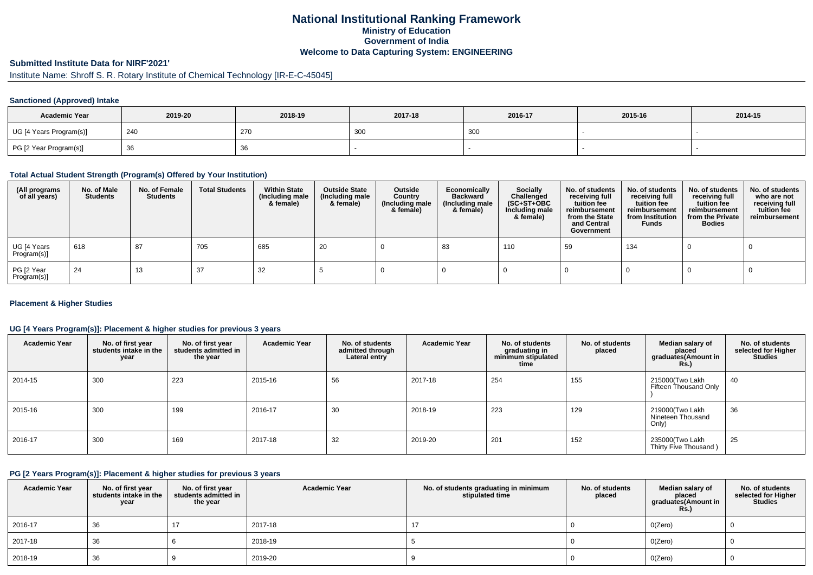## **National Institutional Ranking FrameworkMinistry of Education Government of IndiaWelcome to Data Capturing System: ENGINEERING**

## **Submitted Institute Data for NIRF'2021'**

# Institute Name: Shroff S. R. Rotary Institute of Chemical Technology [IR-E-C-45045]

### **Sanctioned (Approved) Intake**

| <b>Academic Year</b>    | 2019-20 | 2018-19 | 2017-18 | 2016-17 | 2015-16 | 2014-15 |
|-------------------------|---------|---------|---------|---------|---------|---------|
| UG [4 Years Program(s)] | 240     | 270     | 300     | 300     |         |         |
| PG [2 Year Program(s)]  | ັບບ     | 36      |         |         |         |         |

### **Total Actual Student Strength (Program(s) Offered by Your Institution)**

| (All programs<br>of all years) | No. of Male<br><b>Students</b> | No. of Female<br><b>Students</b> | <b>Total Students</b> | <b>Within State</b><br>(Including male<br>& female) | <b>Outside State</b><br>(Including male<br>& female) | Outside<br>Country<br>(Including male<br>& female) | Economically<br><b>Backward</b><br>(Including male<br>& female) | <b>Socially</b><br>Challenged<br>$(SC+ST+OBC)$<br>Including male<br>& female) | No. of students<br>receiving full<br>tuition fee<br>reimbursement<br>from the State<br>and Central<br>Government | No. of students<br>receiving full<br>tuition fee<br>reimbursement<br>from Institution<br><b>Funds</b> | No. of students<br>receiving full<br>tuition fee<br>reimbursement<br>from the Private<br><b>Bodies</b> | No. of students<br>who are not<br>receiving full<br>tuition fee<br>reimbursement |
|--------------------------------|--------------------------------|----------------------------------|-----------------------|-----------------------------------------------------|------------------------------------------------------|----------------------------------------------------|-----------------------------------------------------------------|-------------------------------------------------------------------------------|------------------------------------------------------------------------------------------------------------------|-------------------------------------------------------------------------------------------------------|--------------------------------------------------------------------------------------------------------|----------------------------------------------------------------------------------|
| UG [4 Years<br>Program(s)]     | 618                            | 87                               | 705                   | 685                                                 | 20                                                   |                                                    | 83                                                              | 110                                                                           | 59                                                                                                               | 134                                                                                                   |                                                                                                        |                                                                                  |
| PG [2 Year<br>Program(s)]      | 24                             | 13                               | 37                    | 32                                                  |                                                      |                                                    |                                                                 |                                                                               |                                                                                                                  |                                                                                                       |                                                                                                        |                                                                                  |

### **Placement & Higher Studies**

### **UG [4 Years Program(s)]: Placement & higher studies for previous 3 years**

| <b>Academic Year</b> | No. of first year<br>students intake in the<br>year | No. of first year<br>students admitted in<br>the year | <b>Academic Year</b> | No. of students<br>admitted through<br>Lateral entry | <b>Academic Year</b> | No. of students<br>graduating in<br>minimum stipulated<br>time | No. of students<br>placed | Median salary of<br>placed<br>graduates(Amount in<br><b>Rs.</b> ) | No. of students<br>selected for Higher<br><b>Studies</b> |
|----------------------|-----------------------------------------------------|-------------------------------------------------------|----------------------|------------------------------------------------------|----------------------|----------------------------------------------------------------|---------------------------|-------------------------------------------------------------------|----------------------------------------------------------|
| 2014-15              | 300                                                 | 223                                                   | 2015-16              | 56                                                   | 2017-18              | 254                                                            | 155                       | 215000(Two Lakh<br>Fifteen Thousand Only                          | 40                                                       |
| 2015-16              | 300                                                 | 199                                                   | 2016-17              | 30                                                   | 2018-19              | 223                                                            | 129                       | 219000(Two Lakh<br>Nineteen Thousand<br>Only)                     | 36                                                       |
| 2016-17              | 300                                                 | 169                                                   | 2017-18              | 32                                                   | 2019-20              | 201                                                            | 152                       | 235000(Two Lakh<br>Thirty Five Thousand)                          | 25                                                       |

#### **PG [2 Years Program(s)]: Placement & higher studies for previous 3 years**

| <b>Academic Year</b> | No. of first year<br>students intake in the<br>year | No. of first year<br>students admitted in<br>the year | <b>Academic Year</b> | No. of students graduating in minimum<br>stipulated time | No. of students<br>placed | Median salary of<br>placed<br>graduates(Amount in<br><b>Rs.)</b> | No. of students<br>selected for Higher<br><b>Studies</b> |
|----------------------|-----------------------------------------------------|-------------------------------------------------------|----------------------|----------------------------------------------------------|---------------------------|------------------------------------------------------------------|----------------------------------------------------------|
| 2016-17              | 36                                                  |                                                       | 2017-18              | 17                                                       |                           | O(Zero)                                                          |                                                          |
| 2017-18              | 36                                                  |                                                       | 2018-19              |                                                          |                           | O(Zero)                                                          |                                                          |
| 2018-19              | 36                                                  |                                                       | 2019-20              |                                                          |                           | O(Zero)                                                          |                                                          |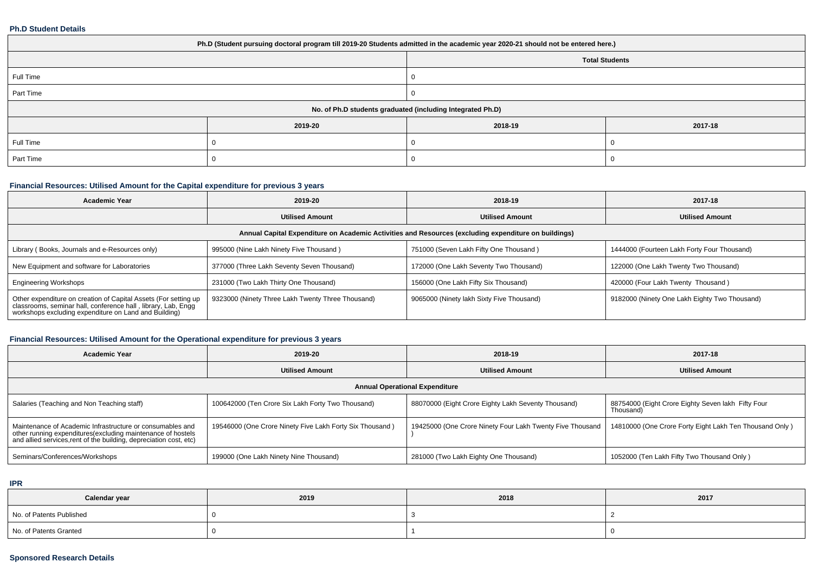#### **Ph.D Student Details**

| Ph.D (Student pursuing doctoral program till 2019-20 Students admitted in the academic year 2020-21 should not be entered here.) |         |                                                            |         |  |  |  |  |
|----------------------------------------------------------------------------------------------------------------------------------|---------|------------------------------------------------------------|---------|--|--|--|--|
| <b>Total Students</b>                                                                                                            |         |                                                            |         |  |  |  |  |
| Full Time                                                                                                                        |         |                                                            |         |  |  |  |  |
| Part Time                                                                                                                        |         |                                                            |         |  |  |  |  |
|                                                                                                                                  |         | No. of Ph.D students graduated (including Integrated Ph.D) |         |  |  |  |  |
|                                                                                                                                  | 2019-20 | 2018-19                                                    | 2017-18 |  |  |  |  |
| Full Time                                                                                                                        |         |                                                            |         |  |  |  |  |
| Part Time                                                                                                                        |         |                                                            |         |  |  |  |  |

## **Financial Resources: Utilised Amount for the Capital expenditure for previous 3 years**

| <b>Academic Year</b>                                                                                                                                                                      | 2019-20                                                                                              | 2018-19                                   | 2017-18                                       |  |  |  |  |  |  |  |
|-------------------------------------------------------------------------------------------------------------------------------------------------------------------------------------------|------------------------------------------------------------------------------------------------------|-------------------------------------------|-----------------------------------------------|--|--|--|--|--|--|--|
| <b>Utilised Amount</b>                                                                                                                                                                    |                                                                                                      | <b>Utilised Amount</b>                    | <b>Utilised Amount</b>                        |  |  |  |  |  |  |  |
|                                                                                                                                                                                           | Annual Capital Expenditure on Academic Activities and Resources (excluding expenditure on buildings) |                                           |                                               |  |  |  |  |  |  |  |
| Library (Books, Journals and e-Resources only)                                                                                                                                            | 995000 (Nine Lakh Ninety Five Thousand)                                                              | 751000 (Seven Lakh Fifty One Thousand)    | 1444000 (Fourteen Lakh Forty Four Thousand)   |  |  |  |  |  |  |  |
| New Equipment and software for Laboratories                                                                                                                                               | 377000 (Three Lakh Seventy Seven Thousand)                                                           | 172000 (One Lakh Seventy Two Thousand)    | 122000 (One Lakh Twenty Two Thousand)         |  |  |  |  |  |  |  |
| <b>Engineering Workshops</b>                                                                                                                                                              | 231000 (Two Lakh Thirty One Thousand)                                                                | 156000 (One Lakh Fifty Six Thousand)      | 420000 (Four Lakh Twenty Thousand)            |  |  |  |  |  |  |  |
| Other expenditure on creation of Capital Assets (For setting up<br>classrooms, seminar hall, conference hall, library, Lab, Engg<br>workshops excluding expenditure on Land and Building) | 9323000 (Ninety Three Lakh Twenty Three Thousand)                                                    | 9065000 (Ninety lakh Sixty Five Thousand) | 9182000 (Ninety One Lakh Eighty Two Thousand) |  |  |  |  |  |  |  |

## **Financial Resources: Utilised Amount for the Operational expenditure for previous 3 years**

| <b>Academic Year</b>                                                                                                                                                                            | 2019-20                                                  | 2018-19                                                   | 2017-18                                                         |  |  |  |  |  |  |
|-------------------------------------------------------------------------------------------------------------------------------------------------------------------------------------------------|----------------------------------------------------------|-----------------------------------------------------------|-----------------------------------------------------------------|--|--|--|--|--|--|
|                                                                                                                                                                                                 | <b>Utilised Amount</b>                                   | <b>Utilised Amount</b>                                    | <b>Utilised Amount</b>                                          |  |  |  |  |  |  |
|                                                                                                                                                                                                 | <b>Annual Operational Expenditure</b>                    |                                                           |                                                                 |  |  |  |  |  |  |
| Salaries (Teaching and Non Teaching staff)                                                                                                                                                      | 100642000 (Ten Crore Six Lakh Forty Two Thousand)        | 88070000 (Eight Crore Eighty Lakh Seventy Thousand)       | 88754000 (Eight Crore Eighty Seven lakh Fifty Four<br>Thousand) |  |  |  |  |  |  |
| Maintenance of Academic Infrastructure or consumables and<br>other running expenditures (excluding maintenance of hostels<br>and allied services, rent of the building, depreciation cost, etc) | 19546000 (One Crore Ninety Five Lakh Forty Six Thousand) | 19425000 (One Crore Ninety Four Lakh Twenty Five Thousand | 14810000 (One Crore Forty Eight Lakh Ten Thousand Only)         |  |  |  |  |  |  |
| Seminars/Conferences/Workshops                                                                                                                                                                  | 199000 (One Lakh Ninety Nine Thousand)                   | 281000 (Two Lakh Eighty One Thousand)                     | 1052000 (Ten Lakh Fifty Two Thousand Only)                      |  |  |  |  |  |  |

### **IPR**

| Calendar year            | 2019 | 2018 | 2017 |
|--------------------------|------|------|------|
| No. of Patents Published |      |      |      |
| No. of Patents Granted   |      |      |      |

### **Sponsored Research Details**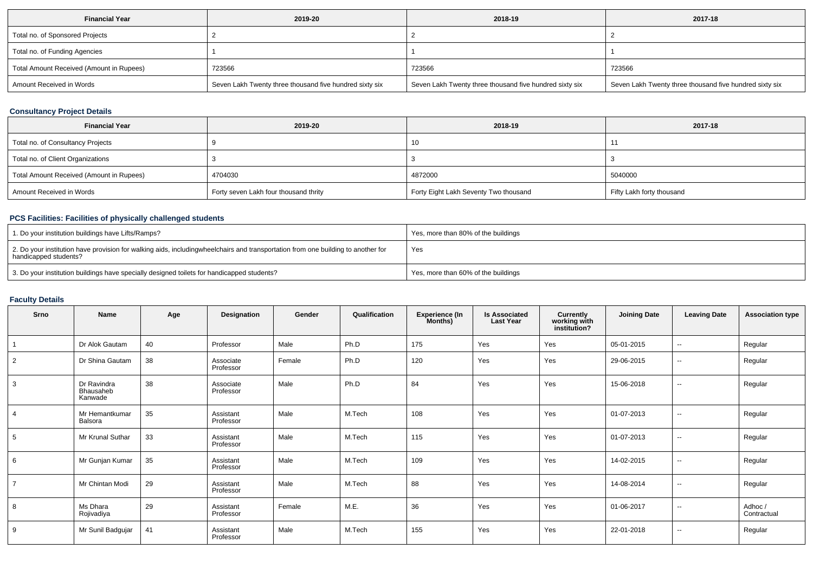| <b>Financial Year</b>                    | 2019-20                                                 | 2018-19                                                 | 2017-18                                                 |
|------------------------------------------|---------------------------------------------------------|---------------------------------------------------------|---------------------------------------------------------|
| Total no. of Sponsored Projects          |                                                         |                                                         |                                                         |
| Total no. of Funding Agencies            |                                                         |                                                         |                                                         |
| Total Amount Received (Amount in Rupees) | 723566                                                  | 723566                                                  | 723566                                                  |
| Amount Received in Words                 | Seven Lakh Twenty three thousand five hundred sixty six | Seven Lakh Twenty three thousand five hundred sixty six | Seven Lakh Twenty three thousand five hundred sixty six |

## **Consultancy Project Details**

| <b>Financial Year</b>                    | 2019-20                               | 2018-19                               | 2017-18                   |
|------------------------------------------|---------------------------------------|---------------------------------------|---------------------------|
| Total no. of Consultancy Projects        |                                       | 10                                    |                           |
| Total no. of Client Organizations        |                                       |                                       |                           |
| Total Amount Received (Amount in Rupees) | 4704030                               | 4872000                               | 5040000                   |
| Amount Received in Words                 | Forty seven Lakh four thousand thrity | Forty Eight Lakh Seventy Two thousand | Fifty Lakh forty thousand |

### **PCS Facilities: Facilities of physically challenged students**

| 1. Do your institution buildings have Lifts/Ramps?                                                                                                        | Yes, more than 80% of the buildings |
|-----------------------------------------------------------------------------------------------------------------------------------------------------------|-------------------------------------|
| 2. Do your institution have provision for walking aids, includingwheelchairs and transportation from one building to another for<br>handicapped students? | Yes                                 |
| 3. Do your institution buildings have specially designed toilets for handicapped students?                                                                | Yes, more than 60% of the buildings |

# **Faculty Details**

| Srno           | Name                                | Age | Designation            | Gender | Qualification | <b>Experience (In</b><br>Months) | <b>Is Associated</b><br><b>Last Year</b> | Currently<br>working with<br>institution? | <b>Joining Date</b> | <b>Leaving Date</b>      | <b>Association type</b> |
|----------------|-------------------------------------|-----|------------------------|--------|---------------|----------------------------------|------------------------------------------|-------------------------------------------|---------------------|--------------------------|-------------------------|
|                | Dr Alok Gautam                      | 40  | Professor              | Male   | Ph.D          | 175                              | Yes                                      | Yes                                       | 05-01-2015          | $\sim$                   | Regular                 |
| 2              | Dr Shina Gautam                     | 38  | Associate<br>Professor | Female | Ph.D          | 120                              | Yes                                      | Yes                                       | 29-06-2015          | $\overline{\phantom{a}}$ | Regular                 |
| 3              | Dr Ravindra<br>Bhausaheb<br>Kanwade | 38  | Associate<br>Professor | Male   | Ph.D          | 84                               | Yes                                      | Yes                                       | 15-06-2018          | $\overline{\phantom{a}}$ | Regular                 |
| $\overline{4}$ | Mr Hemantkumar<br>Balsora           | 35  | Assistant<br>Professor | Male   | M.Tech        | 108                              | Yes                                      | Yes                                       | 01-07-2013          | $\overline{\phantom{a}}$ | Regular                 |
| 5              | Mr Krunal Suthar                    | 33  | Assistant<br>Professor | Male   | M.Tech        | 115                              | Yes                                      | Yes                                       | 01-07-2013          | $\sim$                   | Regular                 |
| 6              | Mr Gunjan Kumar                     | 35  | Assistant<br>Professor | Male   | M.Tech        | 109                              | Yes                                      | Yes                                       | 14-02-2015          | $\overline{\phantom{a}}$ | Regular                 |
| $\overline{7}$ | Mr Chintan Modi                     | 29  | Assistant<br>Professor | Male   | M.Tech        | 88                               | Yes                                      | Yes                                       | 14-08-2014          | $\overline{\phantom{a}}$ | Regular                 |
| 8              | Ms Dhara<br>Rojivadiya              | 29  | Assistant<br>Professor | Female | M.E.          | 36                               | Yes                                      | Yes                                       | 01-06-2017          | $\sim$                   | Adhoc/<br>Contractual   |
| 9              | Mr Sunil Badgujar                   | 41  | Assistant<br>Professor | Male   | M.Tech        | 155                              | Yes                                      | Yes                                       | 22-01-2018          | $\overline{\phantom{a}}$ | Regular                 |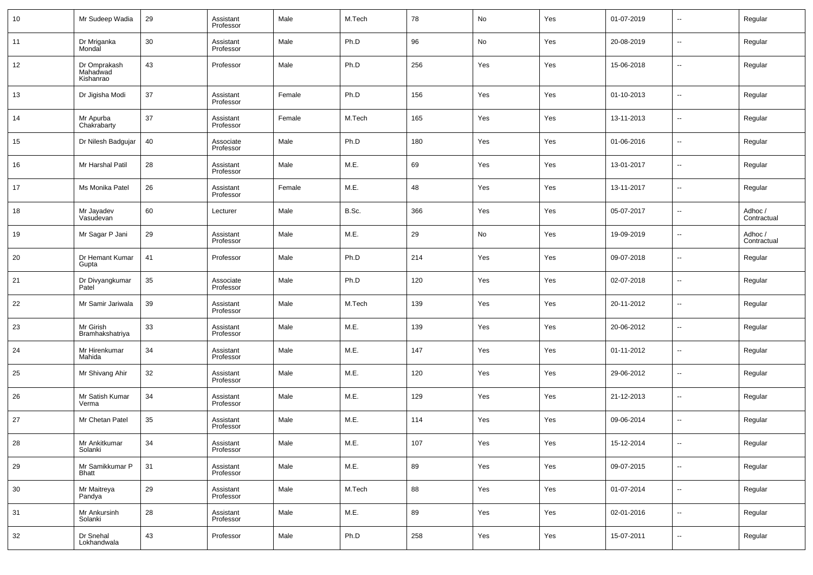| 10 | Mr Sudeep Wadia                       | 29 | Assistant<br>Professor | Male   | M.Tech | 78  | No  | Yes | 01-07-2019 | $\sim$                   | Regular                |
|----|---------------------------------------|----|------------------------|--------|--------|-----|-----|-----|------------|--------------------------|------------------------|
| 11 | Dr Mriganka<br>Mondal                 | 30 | Assistant<br>Professor | Male   | Ph.D   | 96  | No  | Yes | 20-08-2019 | $\sim$                   | Regular                |
| 12 | Dr Omprakash<br>Mahadwad<br>Kishanrao | 43 | Professor              | Male   | Ph.D   | 256 | Yes | Yes | 15-06-2018 | $\sim$                   | Regular                |
| 13 | Dr Jigisha Modi                       | 37 | Assistant<br>Professor | Female | Ph.D   | 156 | Yes | Yes | 01-10-2013 | $\ddotsc$                | Regular                |
| 14 | Mr Apurba<br>Chakrabarty              | 37 | Assistant<br>Professor | Female | M.Tech | 165 | Yes | Yes | 13-11-2013 | $\ddotsc$                | Regular                |
| 15 | Dr Nilesh Badgujar                    | 40 | Associate<br>Professor | Male   | Ph.D   | 180 | Yes | Yes | 01-06-2016 | н.                       | Regular                |
| 16 | Mr Harshal Patil                      | 28 | Assistant<br>Professor | Male   | M.E.   | 69  | Yes | Yes | 13-01-2017 | $\ddotsc$                | Regular                |
| 17 | Ms Monika Patel                       | 26 | Assistant<br>Professor | Female | M.E.   | 48  | Yes | Yes | 13-11-2017 | н.                       | Regular                |
| 18 | Mr Jayadev<br>Vasudevan               | 60 | Lecturer               | Male   | B.Sc.  | 366 | Yes | Yes | 05-07-2017 | $\ddotsc$                | Adhoc /<br>Contractual |
| 19 | Mr Sagar P Jani                       | 29 | Assistant<br>Professor | Male   | M.E.   | 29  | No  | Yes | 19-09-2019 | н.                       | Adhoc/<br>Contractual  |
| 20 | Dr Hemant Kumar<br>Gupta              | 41 | Professor              | Male   | Ph.D   | 214 | Yes | Yes | 09-07-2018 | $\ddotsc$                | Regular                |
| 21 | Dr Divyangkumar<br>Patel              | 35 | Associate<br>Professor | Male   | Ph.D   | 120 | Yes | Yes | 02-07-2018 | н.                       | Regular                |
| 22 | Mr Samir Jariwala                     | 39 | Assistant<br>Professor | Male   | M.Tech | 139 | Yes | Yes | 20-11-2012 | $\ddotsc$                | Regular                |
| 23 | Mr Girish<br>Bramhakshatriya          | 33 | Assistant<br>Professor | Male   | M.E.   | 139 | Yes | Yes | 20-06-2012 | н.                       | Regular                |
| 24 | Mr Hirenkumar<br>Mahida               | 34 | Assistant<br>Professor | Male   | M.E.   | 147 | Yes | Yes | 01-11-2012 | $\ddotsc$                | Regular                |
| 25 | Mr Shivang Ahir                       | 32 | Assistant<br>Professor | Male   | M.E.   | 120 | Yes | Yes | 29-06-2012 | н.                       | Regular                |
| 26 | Mr Satish Kumar<br>Verma              | 34 | Assistant<br>Professor | Male   | M.E.   | 129 | Yes | Yes | 21-12-2013 | $\ddotsc$                | Regular                |
| 27 | Mr Chetan Patel                       | 35 | Assistant<br>Professor | Male   | M.E.   | 114 | Yes | Yes | 09-06-2014 | н.                       | Regular                |
| 28 | Mr Ankitkumar<br>Solanki              | 34 | Assistant<br>Professor | Male   | M.E.   | 107 | Yes | Yes | 15-12-2014 |                          | Regular                |
| 29 | Mr Samikkumar P<br>Bhatt              | 31 | Assistant<br>Professor | Male   | M.E.   | 89  | Yes | Yes | 09-07-2015 | н.                       | Regular                |
| 30 | Mr Maitreya<br>Pandya                 | 29 | Assistant<br>Professor | Male   | M.Tech | 88  | Yes | Yes | 01-07-2014 | ц.                       | Regular                |
| 31 | Mr Ankursinh<br>Solanki               | 28 | Assistant<br>Professor | Male   | M.E.   | 89  | Yes | Yes | 02-01-2016 | $\overline{\phantom{a}}$ | Regular                |
| 32 | Dr Snehal<br>Lokhandwala              | 43 | Professor              | Male   | Ph.D   | 258 | Yes | Yes | 15-07-2011 | щ.                       | Regular                |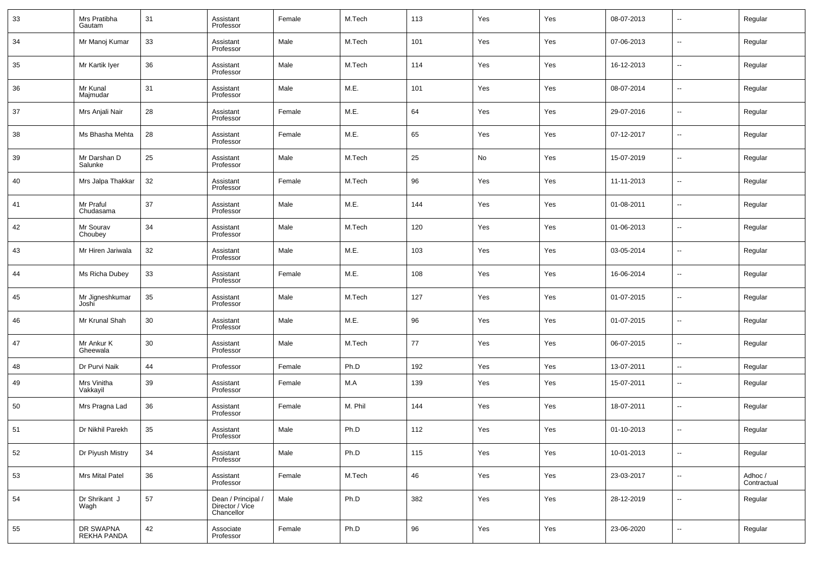| 33 | Mrs Pratibha<br>Gautam   | 31 | Assistant<br>Professor                              | Female | M.Tech  | 113 | Yes | Yes | 08-07-2013 | --                       | Regular                |
|----|--------------------------|----|-----------------------------------------------------|--------|---------|-----|-----|-----|------------|--------------------------|------------------------|
| 34 | Mr Manoj Kumar           | 33 | Assistant<br>Professor                              | Male   | M.Tech  | 101 | Yes | Yes | 07-06-2013 | --                       | Regular                |
| 35 | Mr Kartik Iyer           | 36 | Assistant<br>Professor                              | Male   | M.Tech  | 114 | Yes | Yes | 16-12-2013 | --                       | Regular                |
| 36 | Mr Kunal<br>Majmudar     | 31 | Assistant<br>Professor                              | Male   | M.E.    | 101 | Yes | Yes | 08-07-2014 | --                       | Regular                |
| 37 | Mrs Anjali Nair          | 28 | Assistant<br>Professor                              | Female | M.E.    | 64  | Yes | Yes | 29-07-2016 | --                       | Regular                |
| 38 | Ms Bhasha Mehta          | 28 | Assistant<br>Professor                              | Female | M.E.    | 65  | Yes | Yes | 07-12-2017 | --                       | Regular                |
| 39 | Mr Darshan D<br>Salunke  | 25 | Assistant<br>Professor                              | Male   | M.Tech  | 25  | No  | Yes | 15-07-2019 | --                       | Regular                |
| 40 | Mrs Jalpa Thakkar        | 32 | Assistant<br>Professor                              | Female | M.Tech  | 96  | Yes | Yes | 11-11-2013 | --                       | Regular                |
| 41 | Mr Praful<br>Chudasama   | 37 | Assistant<br>Professor                              | Male   | M.E.    | 144 | Yes | Yes | 01-08-2011 | --                       | Regular                |
| 42 | Mr Sourav<br>Choubey     | 34 | Assistant<br>Professor                              | Male   | M.Tech  | 120 | Yes | Yes | 01-06-2013 | --                       | Regular                |
| 43 | Mr Hiren Jariwala        | 32 | Assistant<br>Professor                              | Male   | M.E.    | 103 | Yes | Yes | 03-05-2014 | --                       | Regular                |
| 44 | Ms Richa Dubey           | 33 | Assistant<br>Professor                              | Female | M.E.    | 108 | Yes | Yes | 16-06-2014 | --                       | Regular                |
| 45 | Mr Jigneshkumar<br>Joshi | 35 | Assistant<br>Professor                              | Male   | M.Tech  | 127 | Yes | Yes | 01-07-2015 | --                       | Regular                |
| 46 | Mr Krunal Shah           | 30 | Assistant<br>Professor                              | Male   | M.E.    | 96  | Yes | Yes | 01-07-2015 | --                       | Regular                |
| 47 | Mr Ankur K<br>Gheewala   | 30 | Assistant<br>Professor                              | Male   | M.Tech  | 77  | Yes | Yes | 06-07-2015 | --                       | Regular                |
| 48 | Dr Purvi Naik            | 44 | Professor                                           | Female | Ph.D    | 192 | Yes | Yes | 13-07-2011 | $\sim$                   | Regular                |
| 49 | Mrs Vinitha<br>Vakkayil  | 39 | Assistant<br>Professor                              | Female | M.A     | 139 | Yes | Yes | 15-07-2011 | --                       | Regular                |
| 50 | Mrs Pragna Lad           | 36 | Assistant<br>Professor                              | Female | M. Phil | 144 | Yes | Yes | 18-07-2011 | --                       | Regular                |
| 51 | Dr Nikhil Parekh         | 35 | Assistant<br>Professor                              | Male   | Ph.D    | 112 | Yes | Yes | 01-10-2013 | --                       | Regular                |
| 52 | Dr Piyush Mistry         | 34 | Assistant<br>Professor                              | Male   | Ph.D    | 115 | Yes | Yes | 10-01-2013 | н.                       | Regular                |
| 53 | Mrs Mital Patel          | 36 | Assistant<br>Professor                              | Female | M.Tech  | 46  | Yes | Yes | 23-03-2017 | $\overline{\phantom{a}}$ | Adhoc /<br>Contractual |
| 54 | Dr Shrikant J<br>Wagh    | 57 | Dean / Principal /<br>Director / Vice<br>Chancellor | Male   | Ph.D    | 382 | Yes | Yes | 28-12-2019 | $\sim$                   | Regular                |
| 55 | DR SWAPNA<br>REKHA PANDA | 42 | Associate<br>Professor                              | Female | Ph.D    | 96  | Yes | Yes | 23-06-2020 | $\sim$                   | Regular                |